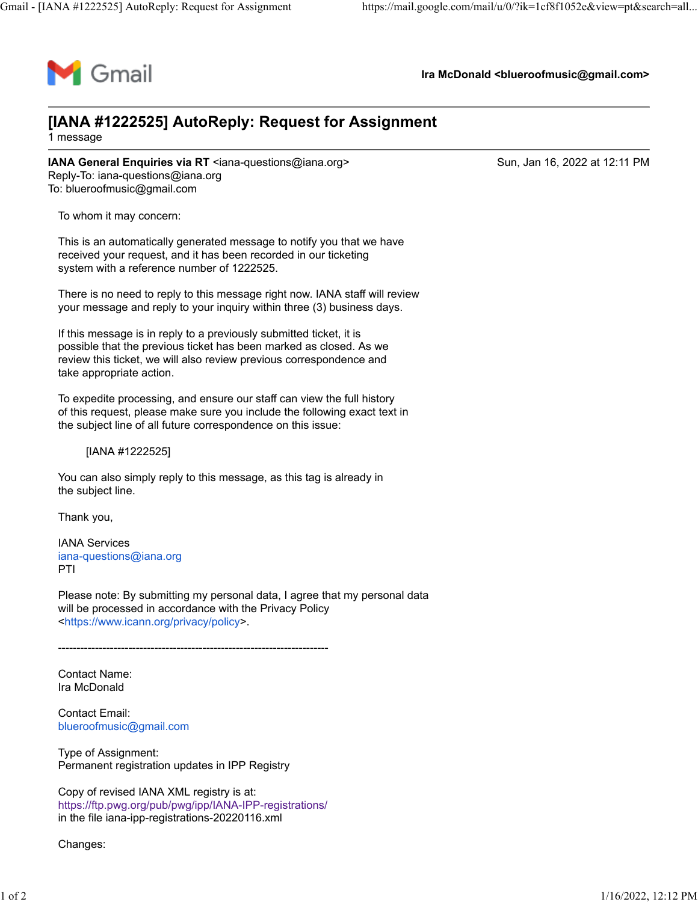

**Ira McDonald <blueroofmusic@gmail.com>**

## **[IANA #1222525] AutoReply: Request for Assignment**

1 message

**IANA General Enquiries via RT** <iana-questions@iana.org> Sun, Jan 16, 2022 at 12:11 PM Reply-To: iana-questions@iana.org To: blueroofmusic@gmail.com

To whom it may concern:

This is an automatically generated message to notify you that we have received your request, and it has been recorded in our ticketing system with a reference number of 1222525.

There is no need to reply to this message right now. IANA staff will review your message and reply to your inquiry within three (3) business days.

If this message is in reply to a previously submitted ticket, it is possible that the previous ticket has been marked as closed. As we review this ticket, we will also review previous correspondence and take appropriate action.

To expedite processing, and ensure our staff can view the full history of this request, please make sure you include the following exact text in the subject line of all future correspondence on this issue:

[IANA #1222525]

You can also simply reply to this message, as this tag is already in the subject line.

Thank you,

IANA Services [iana-questions@iana.org](mailto:iana-questions@iana.org) PTI

Please note: By submitting my personal data, I agree that my personal data will be processed in accordance with the Privacy Policy [<https://www.icann.org/privacy/policy>](https://www.icann.org/privacy/policy).

-------------------------------------------------------------------------

Contact Name: Ira McDonald

Contact Email: [blueroofmusic@gmail.com](mailto:blueroofmusic@gmail.com)

Type of Assignment: Permanent registration updates in IPP Registry

Copy of revised IANA XML registry is at: <https://ftp.pwg.org/pub/pwg/ipp/IANA-IPP-registrations/> in the file iana-ipp-registrations-20220116.xml

Changes: